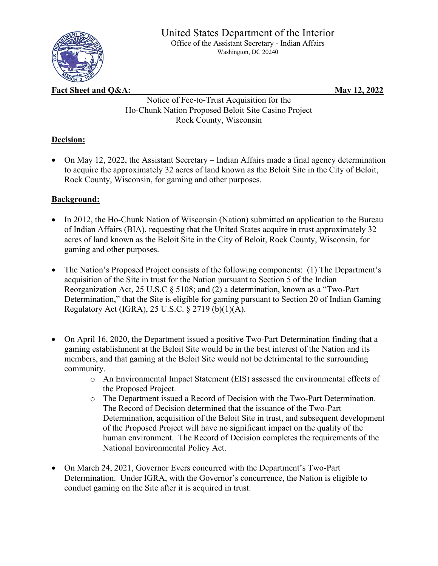

Washington, DC 20240

**Fact Sheet and Q&A:** May 12, 2022

Notice of Fee-to-Trust Acquisition for the Ho-Chunk Nation Proposed Beloit Site Casino Project Rock County, Wisconsin

## **Decision:**

• On May 12, 2022, the Assistant Secretary – Indian Affairs made a final agency determination to acquire the approximately 32 acres of land known as the Beloit Site in the City of Beloit, Rock County, Wisconsin, for gaming and other purposes.

## **Background:**

- In 2012, the Ho-Chunk Nation of Wisconsin (Nation) submitted an application to the Bureau of Indian Affairs (BIA), requesting that the United States acquire in trust approximately 32 acres of land known as the Beloit Site in the City of Beloit, Rock County, Wisconsin, for gaming and other purposes.
- The Nation's Proposed Project consists of the following components: (1) The Department's acquisition of the Site in trust for the Nation pursuant to Section 5 of the Indian Reorganization Act, 25 U.S.C § 5108; and (2) a determination, known as a "Two-Part Determination," that the Site is eligible for gaming pursuant to Section 20 of Indian Gaming Regulatory Act (IGRA), 25 U.S.C. § 2719 (b)(1)(A).
- On April 16, 2020, the Department issued a positive Two-Part Determination finding that a gaming establishment at the Beloit Site would be in the best interest of the Nation and its members, and that gaming at the Beloit Site would not be detrimental to the surrounding community.
	- o An Environmental Impact Statement (EIS) assessed the environmental effects of the Proposed Project.
	- o The Department issued a Record of Decision with the Two-Part Determination. The Record of Decision determined that the issuance of the Two-Part Determination, acquisition of the Beloit Site in trust, and subsequent development of the Proposed Project will have no significant impact on the quality of the human environment. The Record of Decision completes the requirements of the National Environmental Policy Act.
- On March 24, 2021, Governor Evers concurred with the Department's Two-Part Determination. Under IGRA, with the Governor's concurrence, the Nation is eligible to conduct gaming on the Site after it is acquired in trust.